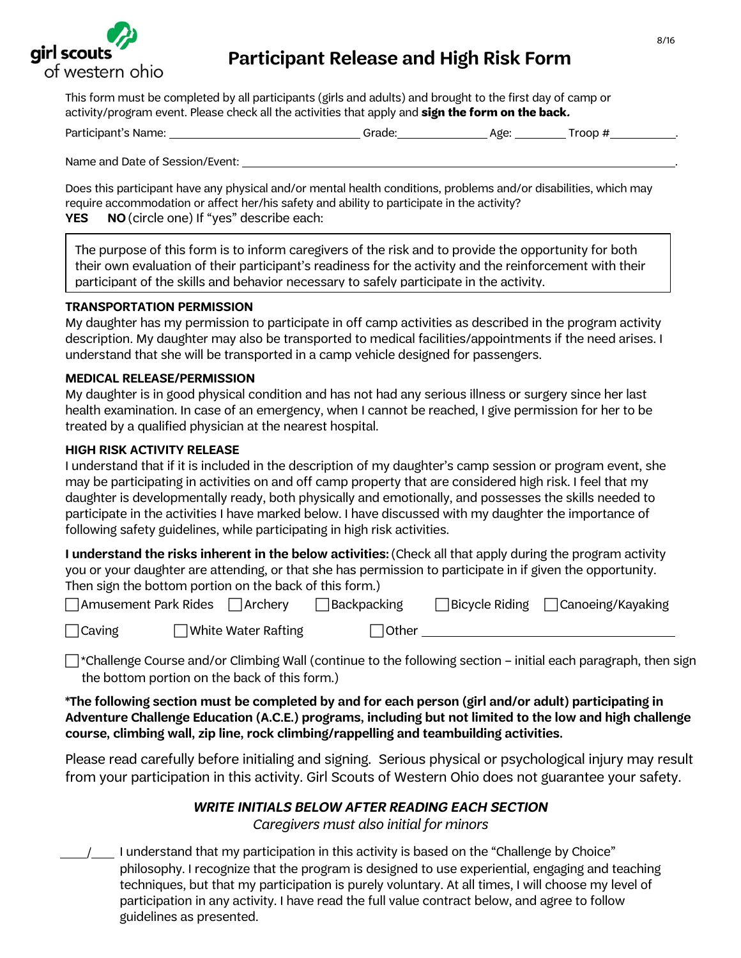

# **Participant Release and High Risk Form**

This form must be completed by all participants (girls and adults) and brought to the first day of camp or activity/program event. Please check all the activities that apply and **sign the form on the back.**

| Participant's Name: | Grade: | Age: | .roop |  |
|---------------------|--------|------|-------|--|
|                     |        |      |       |  |

Name and Date of Session/Event: .

Does this participant have any physical and/or mental health conditions, problems and/or disabilities, which may require accommodation or affect her/his safety and ability to participate in the activity? **YES NO**(circle one) If "yes" describe each:

The purpose of this form is to inform caregivers of the risk and to provide the opportunity for both their own evaluation of their participant's readiness for the activity and the reinforcement with their participant of the skills and behavior necessary to safely participate in the activity.

#### **TRANSPORTATION PERMISSION**

My daughter has my permission to participate in off camp activities as described in the program activity description. My daughter may also be transported to medical facilities/appointments if the need arises. I understand that she will be transported in a camp vehicle designed for passengers.

#### **MEDICAL RELEASE/PERMISSION**

My daughter is in good physical condition and has not had any serious illness or surgery since her last health examination. In case of an emergency, when I cannot be reached, I give permission for her to be treated by a qualified physician at the nearest hospital.

#### **HIGH RISK ACTIVITY RELEASE**

I understand that if it is included in the description of my daughter's camp session or program event, she may be participating in activities on and off camp property that are considered high risk. I feel that my daughter is developmentally ready, both physically and emotionally, and possesses the skills needed to participate in the activities I have marked below. I have discussed with my daughter the importance of following safety guidelines, while participating in high risk activities.

**I understand the risks inherent in the below activities:** (Check all that apply during the program activity you or your daughter are attending, or that she has permission to participate in if given the opportunity. Then sign the bottom portion on the back of this form.)

| $\Box$ Amusement Park Rides | Archery                       | ∃Backpacking | $\Box$ Bicycle Riding $\Box$ Canoeing/Kayaking |
|-----------------------------|-------------------------------|--------------|------------------------------------------------|
| $\Box$ Caving               | $\exists$ White Water Rafting | $\Box$ Other |                                                |

 $\Box$ \*Challenge Course and/or Climbing Wall (continue to the following section – initial each paragraph, then sign the bottom portion on the back of this form.)

**\*The following section must be completed by and for each person (girl and/or adult) participating in Adventure Challenge Education (A.C.E.) programs, including but not limited to the low and high challenge course, climbing wall, zip line, rock climbing/rappelling and teambuilding activities.** 

Please read carefully before initialing and signing. Serious physical or psychological injury may result from your participation in this activity. Girl Scouts of Western Ohio does not guarantee your safety.

#### **WRITE INITIALS BELOW AFTER READING EACH SECTION**

Caregivers must also initial for minors

 / I understand that my participation in this activity is based on the "Challenge by Choice" philosophy. I recognize that the program is designed to use experiential, engaging and teaching techniques, but that my participation is purely voluntary. At all times, I will choose my level of participation in any activity. I have read the full value contract below, and agree to follow guidelines as presented.